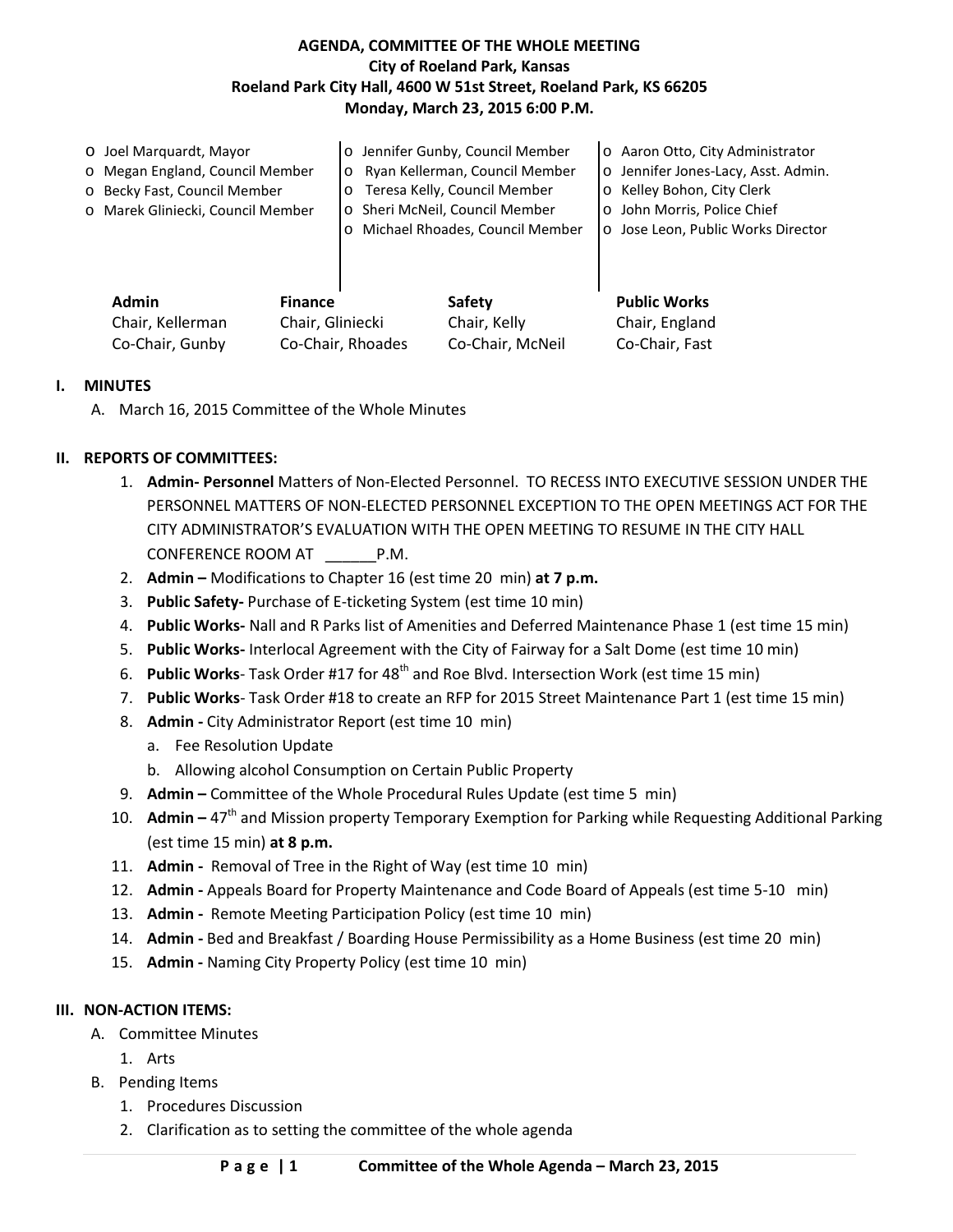## **AGENDA, COMMITTEE OF THE WHOLE MEETING City of Roeland Park, Kansas Roeland Park City Hall, 4600 W 51st Street, Roeland Park, KS 66205 Monday, March 23, 2015 6:00 P.M.**

|  | O Joel Marquardt, Mayor                                                |  |                                         | o Jennifer Gunby, Council Member | o Aaron Otto, City Administrator    |
|--|------------------------------------------------------------------------|--|-----------------------------------------|----------------------------------|-------------------------------------|
|  | o Megan England, Council Member                                        |  | $\circ$                                 | Ryan Kellerman, Council Member   | o Jennifer Jones-Lacy, Asst. Admin. |
|  | o Becky Fast, Council Member                                           |  | Teresa Kelly, Council Member<br>$\circ$ |                                  | O Kelley Bohon, City Clerk          |
|  | o Marek Gliniecki, Council Member                                      |  | o Sheri McNeil, Council Member          |                                  | o John Morris, Police Chief         |
|  |                                                                        |  | $\circ$                                 | Michael Rhoades, Council Member  | o Jose Leon, Public Works Director  |
|  |                                                                        |  |                                         |                                  |                                     |
|  |                                                                        |  |                                         |                                  |                                     |
|  | <b>Admin</b><br><b>Finance</b><br>Chair, Gliniecki<br>Chair, Kellerman |  |                                         | Safety                           | <b>Public Works</b>                 |
|  |                                                                        |  |                                         | Chair, Kelly                     | Chair, England                      |

Co-Chair, Gunby Co-Chair, Rhoades Co-Chair, McNeil Co-Chair, Fast

### **I. MINUTES**

A. March 16, 2015 Committee of the Whole Minutes

## **II. REPORTS OF COMMITTEES:**

- 1. **Admin- Personnel** Matters of Non-Elected Personnel. TO RECESS INTO EXECUTIVE SESSION UNDER THE PERSONNEL MATTERS OF NON-ELECTED PERSONNEL EXCEPTION TO THE OPEN MEETINGS ACT FOR THE CITY ADMINISTRATOR'S EVALUATION WITH THE OPEN MEETING TO RESUME IN THE CITY HALL CONFERENCE ROOM AT \_\_\_\_\_\_P.M.
- 2. **Admin –** Modifications to Chapter 16 (est time 20 min) **at 7 p.m.**
- 3. **Public Safety-** Purchase of E-ticketing System (est time 10 min)
- 4. **Public Works-** Nall and R Parks list of Amenities and Deferred Maintenance Phase 1 (est time 15 min)
- 5. **Public Works-** Interlocal Agreement with the City of Fairway for a Salt Dome (est time 10 min)
- 6. Public Works-Task Order #17 for 48<sup>th</sup> and Roe Blvd. Intersection Work (est time 15 min)
- 7. **Public Works** Task Order #18 to create an RFP for 2015 Street Maintenance Part 1 (est time 15 min)
- 8. **Admin -** City Administrator Report (est time 10 min)
	- a. Fee Resolution Update
	- b. Allowing alcohol Consumption on Certain Public Property
- 9. **Admin –** Committee of the Whole Procedural Rules Update (est time 5 min)
- 10. **Admin** 47<sup>th</sup> and Mission property Temporary Exemption for Parking while Requesting Additional Parking (est time 15 min) **at 8 p.m.**
- 11. **Admin -** Removal of Tree in the Right of Way (est time 10 min)
- 12. **Admin -** Appeals Board for Property Maintenance and Code Board of Appeals (est time 5-10 min)
- 13. **Admin -** Remote Meeting Participation Policy (est time 10 min)
- 14. **Admin -** Bed and Breakfast / Boarding House Permissibility as a Home Business (est time 20 min)
- 15. **Admin -** Naming City Property Policy (est time 10 min)

# **III. NON-ACTION ITEMS:**

- A. Committee Minutes
	- 1. Arts
- B. Pending Items
	- 1. Procedures Discussion
	- 2. Clarification as to setting the committee of the whole agenda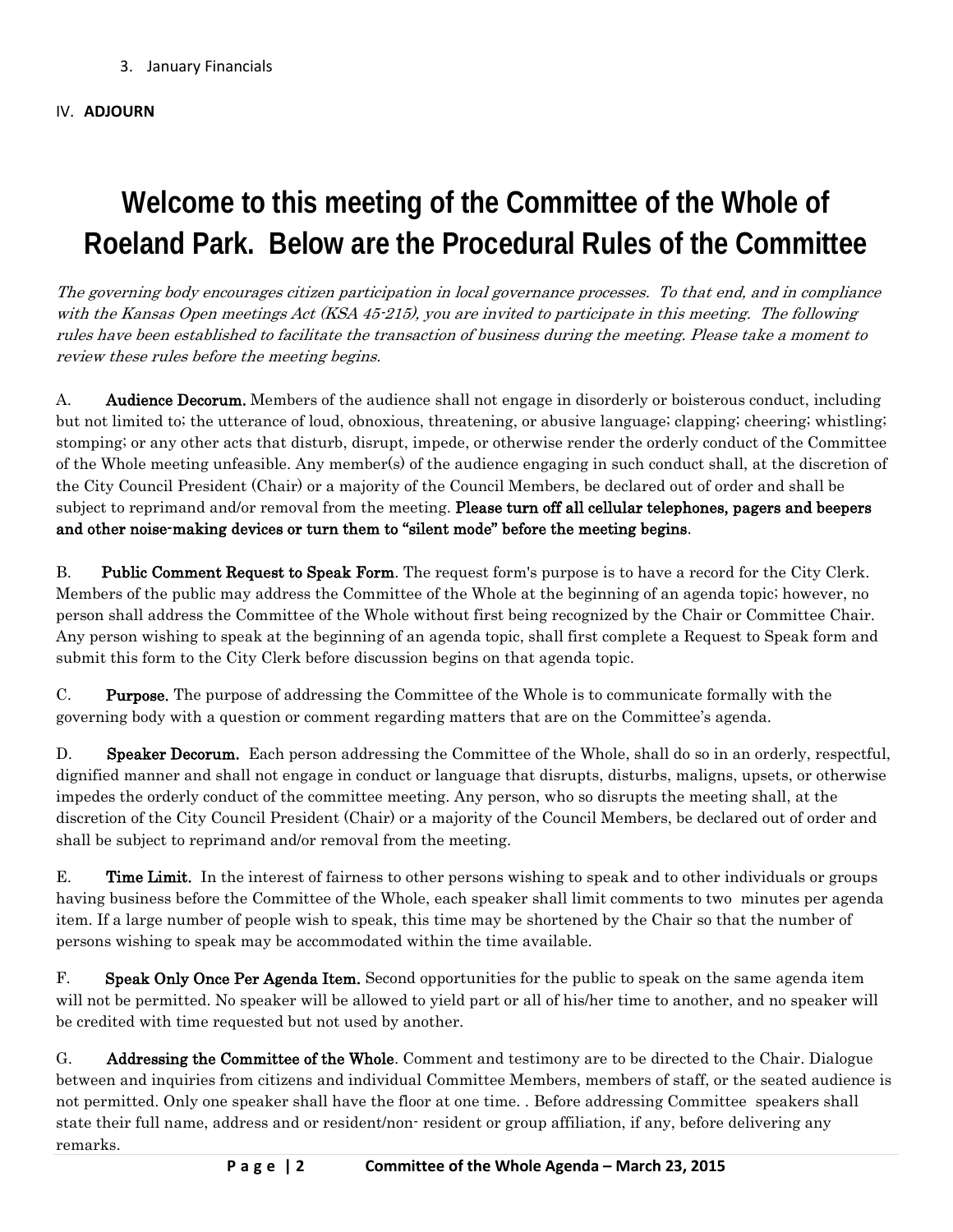3. January Financials

### IV. **ADJOURN**

# **Welcome to this meeting of the Committee of the Whole of Roeland Park. Below are the Procedural Rules of the Committee**

The governing body encourages citizen participation in local governance processes. To that end, and in compliance with the Kansas Open meetings Act (KSA 45-215), you are invited to participate in this meeting. The following rules have been established to facilitate the transaction of business during the meeting. Please take a moment to review these rules before the meeting begins.

A. **Audience Decorum.** Members of the audience shall not engage in disorderly or boisterous conduct, including but not limited to; the utterance of loud, obnoxious, threatening, or abusive language; clapping; cheering; whistling; stomping; or any other acts that disturb, disrupt, impede, or otherwise render the orderly conduct of the Committee of the Whole meeting unfeasible. Any member(s) of the audience engaging in such conduct shall, at the discretion of the City Council President (Chair) or a majority of the Council Members, be declared out of order and shall be subject to reprimand and/or removal from the meeting. Please turn off all cellular telephones, pagers and beepers and other noise-making devices or turn them to "silent mode" before the meeting begins.

B. Public Comment Request to Speak Form. The request form's purpose is to have a record for the City Clerk. Members of the public may address the Committee of the Whole at the beginning of an agenda topic; however, no person shall address the Committee of the Whole without first being recognized by the Chair or Committee Chair. Any person wishing to speak at the beginning of an agenda topic, shall first complete a Request to Speak form and submit this form to the City Clerk before discussion begins on that agenda topic.

C. Purpose. The purpose of addressing the Committee of the Whole is to communicate formally with the governing body with a question or comment regarding matters that are on the Committee's agenda.

D. Speaker Decorum. Each person addressing the Committee of the Whole, shall do so in an orderly, respectful, dignified manner and shall not engage in conduct or language that disrupts, disturbs, maligns, upsets, or otherwise impedes the orderly conduct of the committee meeting. Any person, who so disrupts the meeting shall, at the discretion of the City Council President (Chair) or a majority of the Council Members, be declared out of order and shall be subject to reprimand and/or removal from the meeting.

E. Time Limit. In the interest of fairness to other persons wishing to speak and to other individuals or groups having business before the Committee of the Whole, each speaker shall limit comments to two minutes per agenda item. If a large number of people wish to speak, this time may be shortened by the Chair so that the number of persons wishing to speak may be accommodated within the time available.

F. Speak Only Once Per Agenda Item. Second opportunities for the public to speak on the same agenda item will not be permitted. No speaker will be allowed to yield part or all of his/her time to another, and no speaker will be credited with time requested but not used by another.

G. Addressing the Committee of the Whole. Comment and testimony are to be directed to the Chair. Dialogue between and inquiries from citizens and individual Committee Members, members of staff, or the seated audience is not permitted. Only one speaker shall have the floor at one time. . Before addressing Committee speakers shall state their full name, address and or resident/non- resident or group affiliation, if any, before delivering any remarks.